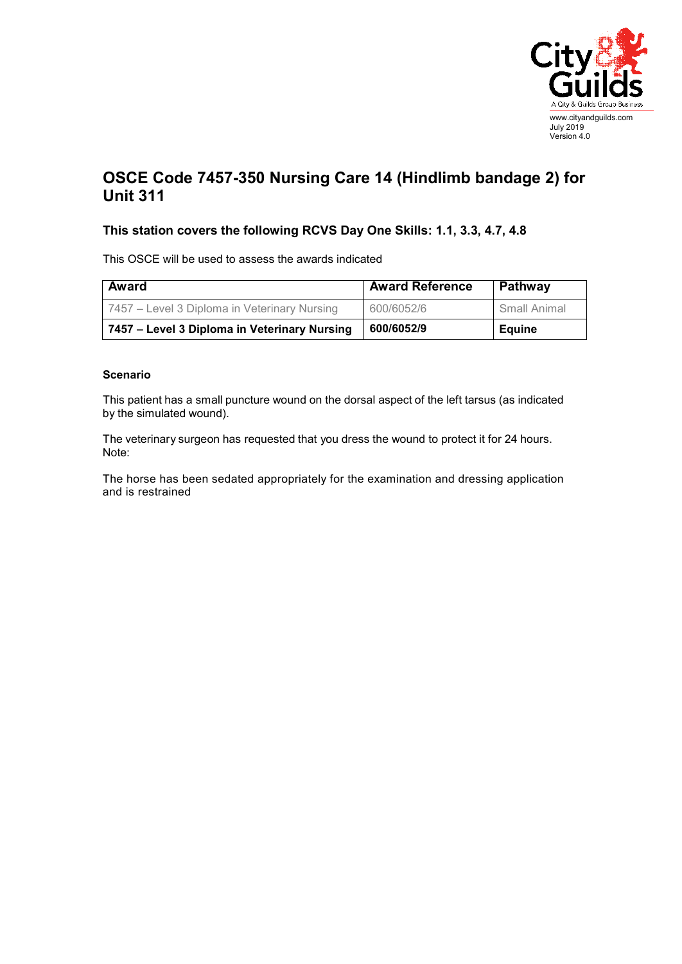

## **OSCE Code 7457-350 Nursing Care 14 (Hindlimb bandage 2) for Unit 311**

## **This station covers the following RCVS Day One Skills: 1.1, 3.3, 4.7, 4.8**

This OSCE will be used to assess the awards indicated

| Award                                        | <b>Award Reference</b> | Pathway       |
|----------------------------------------------|------------------------|---------------|
| 7457 – Level 3 Diploma in Veterinary Nursing | 600/6052/6             | Small Animal  |
| 7457 – Level 3 Diploma in Veterinary Nursing | 600/6052/9             | <b>Equine</b> |

## **Scenario**

This patient has a small puncture wound on the dorsal aspect of the left tarsus (as indicated by the simulated wound).

The veterinary surgeon has requested that you dress the wound to protect it for 24 hours. Note:

The horse has been sedated appropriately for the examination and dressing application and is restrained